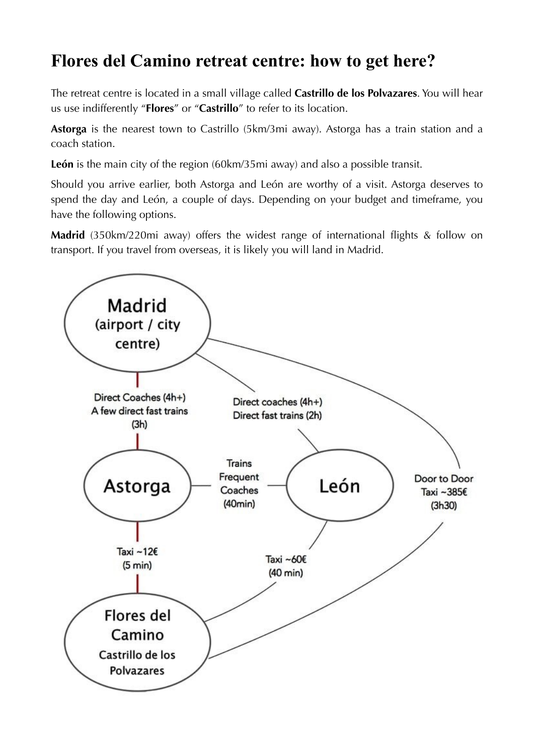# **Flores del Camino retreat centre: how to get here?**

The retreat centre is located in a small village called **Castrillo de los Polvazares**. You will hear us use indifferently "**Flores**" or "**Castrillo**" to refer to its location.

**Astorga** is the nearest town to Castrillo (5km/3mi away). Astorga has a train station and a coach station.

**León** is the main city of the region (60km/35mi away) and also a possible transit.

Should you arrive earlier, both Astorga and León are worthy of a visit. Astorga deserves to spend the day and León, a couple of days. Depending on your budget and timeframe, you have the following options.

**Madrid** (350km/220mi away) offers the widest range of international flights & follow on transport. If you travel from overseas, it is likely you will land in Madrid.

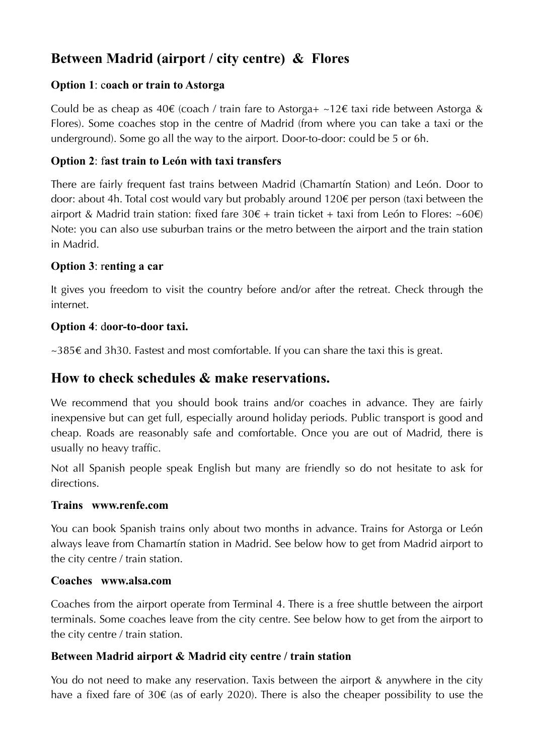# **Between Madrid (airport / city centre) & Flores**

#### **Option 1**: c**oach or train to Astorga**

Could be as cheap as  $40 \epsilon$  (coach / train fare to Astorga+ ~12 $\epsilon$  taxi ride between Astorga & Flores). Some coaches stop in the centre of Madrid (from where you can take a taxi or the underground). Some go all the way to the airport. Door-to-door: could be 5 or 6h.

#### **Option 2**: f**ast train to León with taxi transfers**

There are fairly frequent fast trains between Madrid (Chamartín Station) and León. Door to door: about 4h. Total cost would vary but probably around 120€ per person (taxi between the airport & Madrid train station: fixed fare  $30\epsilon$  + train ticket + taxi from León to Flores: ~60 $\epsilon$ ) Note: you can also use suburban trains or the metro between the airport and the train station in Madrid.

#### **Option 3**: r**enting a car**

It gives you freedom to visit the country before and/or after the retreat. Check through the internet.

#### **Option 4**: d**oor-to-door taxi.**

~385€ and 3h30. Fastest and most comfortable. If you can share the taxi this is great.

### **How to check schedules & make reservations.**

We recommend that you should book trains and/or coaches in advance. They are fairly inexpensive but can get full, especially around holiday periods. Public transport is good and cheap. Roads are reasonably safe and comfortable. Once you are out of Madrid, there is usually no heavy traffic.

Not all Spanish people speak English but many are friendly so do not hesitate to ask for directions.

#### **Trains www.renfe.com**

You can book Spanish trains only about two months in advance. Trains for Astorga or León always leave from Chamartín station in Madrid. See below how to get from Madrid airport to the city centre / train station.

#### **Coaches www.alsa.com**

Coaches from the airport operate from Terminal 4. There is a free shuttle between the airport terminals. Some coaches leave from the city centre. See below how to get from the airport to the city centre / train station.

#### **Between Madrid airport & Madrid city centre / train station**

You do not need to make any reservation. Taxis between the airport & anywhere in the city have a fixed fare of 30 $\epsilon$  (as of early 2020). There is also the cheaper possibility to use the